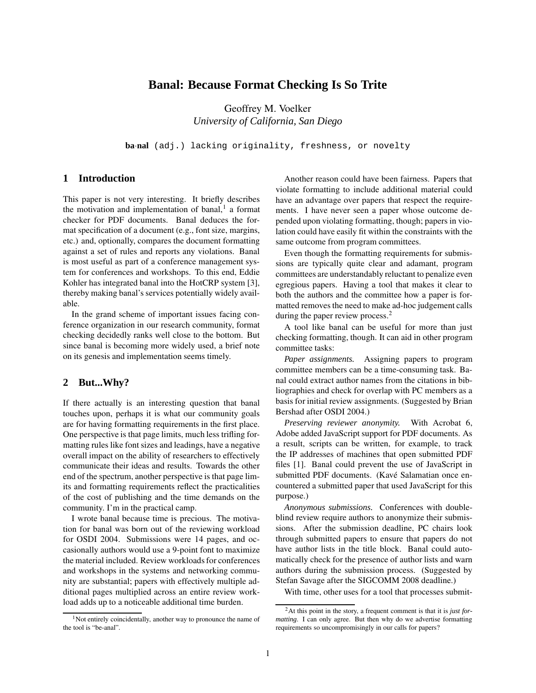# **Banal: Because Format Checking Is So Trite**

Geoffrey M. Voelker *University of California, San Diego*

**ba**·**nal** (adj.) lacking originality, freshness, or novelty

# **1 Introduction**

This paper is not very interesting. It briefly describes the motivation and implementation of banal, $<sup>1</sup>$  a format</sup> checker for PDF documents. Banal deduces the format specification of a document (e.g., font size, margins, etc.) and, optionally, compares the document formatting against a set of rules and reports any violations. Banal is most useful as part of a conference management system for conferences and workshops. To this end, Eddie Kohler has integrated banal into the HotCRP system [3], thereby making banal's services potentially widely available.

In the grand scheme of important issues facing conference organization in our research community, format checking decidedly ranks well close to the bottom. But since banal is becoming more widely used, a brief note on its genesis and implementation seems timely.

#### **2 But...Why?**

If there actually is an interesting question that banal touches upon, perhaps it is what our community goals are for having formatting requirements in the first place. One perspective is that page limits, much less trifling formatting rules like font sizes and leadings, have a negative overall impact on the ability of researchers to effectively communicate their ideas and results. Towards the other end of the spectrum, another perspective is that page limits and formatting requirements reflect the practicalities of the cost of publishing and the time demands on the community. I'm in the practical camp.

I wrote banal because time is precious. The motivation for banal was born out of the reviewing workload for OSDI 2004. Submissions were 14 pages, and occasionally authors would use a 9-point font to maximize the material included. Review workloads for conferences and workshops in the systems and networking community are substantial; papers with effectively multiple additional pages multiplied across an entire review workload adds up to a noticeable additional time burden.

Another reason could have been fairness. Papers that violate formatting to include additional material could have an advantage over papers that respect the requirements. I have never seen a paper whose outcome depended upon violating formatting, though; papers in violation could have easily fit within the constraints with the same outcome from program committees.

Even though the formatting requirements for submissions are typically quite clear and adamant, program committees are understandably reluctant to penalize even egregious papers. Having a tool that makes it clear to both the authors and the committee how a paper is formatted removes the need to make ad-hoc judgement calls during the paper review process.<sup>2</sup>

A tool like banal can be useful for more than just checking formatting, though. It can aid in other program committee tasks:

*Paper assignments.* Assigning papers to program committee members can be a time-consuming task. Banal could extract author names from the citations in bibliographies and check for overlap with PC members as a basis for initial review assignments. (Suggested by Brian Bershad after OSDI 2004.)

*Preserving reviewer anonymity.* With Acrobat 6, Adobe added JavaScript support for PDF documents. As a result, scripts can be written, for example, to track the IP addresses of machines that open submitted PDF files [1]. Banal could prevent the use of JavaScript in submitted PDF documents. (Kavé Salamatian once encountered a submitted paper that used JavaScript for this purpose.)

*Anonymous submissions.* Conferences with doubleblind review require authors to anonymize their submissions. After the submission deadline, PC chairs look through submitted papers to ensure that papers do not have author lists in the title block. Banal could automatically check for the presence of author lists and warn authors during the submission process. (Suggested by Stefan Savage after the SIGCOMM 2008 deadline.)

With time, other uses for a tool that processes submit-

<sup>&</sup>lt;sup>1</sup>Not entirely coincidentally, another way to pronounce the name of the tool is "be-anal".

<sup>2</sup>At this point in the story, a frequent comment is that it is *just formatting*. I can only agree. But then why do we advertise formatting requirements so uncompromisingly in our calls for papers?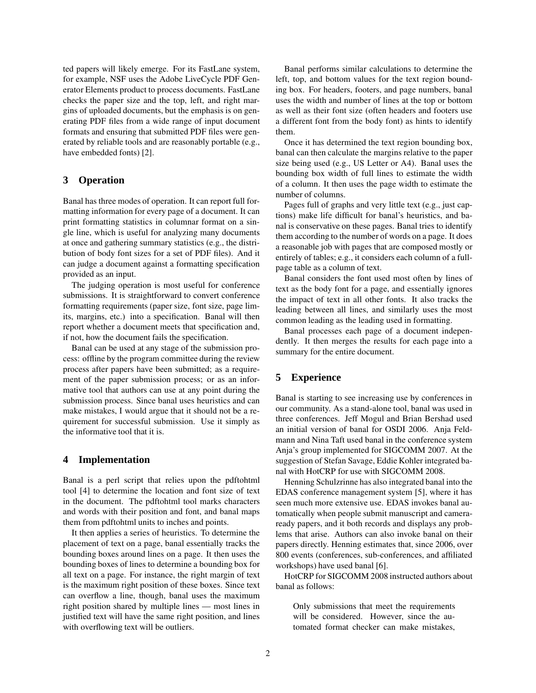ted papers will likely emerge. For its FastLane system, for example, NSF uses the Adobe LiveCycle PDF Generator Elements product to process documents. FastLane checks the paper size and the top, left, and right margins of uploaded documents, but the emphasis is on generating PDF files from a wide range of input document formats and ensuring that submitted PDF files were generated by reliable tools and are reasonably portable (e.g., have embedded fonts) [2].

## **3 Operation**

Banal has three modes of operation. It can report full formatting information for every page of a document. It can print formatting statistics in columnar format on a single line, which is useful for analyzing many documents at once and gathering summary statistics (e.g., the distribution of body font sizes for a set of PDF files). And it can judge a document against a formatting specification provided as an input.

The judging operation is most useful for conference submissions. It is straightforward to convert conference formatting requirements (paper size, font size, page limits, margins, etc.) into a specification. Banal will then report whether a document meets that specification and, if not, how the document fails the specification.

Banal can be used at any stage of the submission process: offline by the program committee during the review process after papers have been submitted; as a requirement of the paper submission process; or as an informative tool that authors can use at any point during the submission process. Since banal uses heuristics and can make mistakes, I would argue that it should not be a requirement for successful submission. Use it simply as the informative tool that it is.

#### **4 Implementation**

Banal is a perl script that relies upon the pdftohtml tool [4] to determine the location and font size of text in the document. The pdftohtml tool marks characters and words with their position and font, and banal maps them from pdftohtml units to inches and points.

It then applies a series of heuristics. To determine the placement of text on a page, banal essentially tracks the bounding boxes around lines on a page. It then uses the bounding boxes of lines to determine a bounding box for all text on a page. For instance, the right margin of text is the maximum right position of these boxes. Since text can overflow a line, though, banal uses the maximum right position shared by multiple lines — most lines in justified text will have the same right position, and lines with overflowing text will be outliers.

Banal performs similar calculations to determine the left, top, and bottom values for the text region bounding box. For headers, footers, and page numbers, banal uses the width and number of lines at the top or bottom as well as their font size (often headers and footers use a different font from the body font) as hints to identify them.

Once it has determined the text region bounding box, banal can then calculate the margins relative to the paper size being used (e.g., US Letter or A4). Banal uses the bounding box width of full lines to estimate the width of a column. It then uses the page width to estimate the number of columns.

Pages full of graphs and very little text (e.g., just captions) make life difficult for banal's heuristics, and banal is conservative on these pages. Banal tries to identify them according to the number of words on a page. It does a reasonable job with pages that are composed mostly or entirely of tables; e.g., it considers each column of a fullpage table as a column of text.

Banal considers the font used most often by lines of text as the body font for a page, and essentially ignores the impact of text in all other fonts. It also tracks the leading between all lines, and similarly uses the most common leading as the leading used in formatting.

Banal processes each page of a document independently. It then merges the results for each page into a summary for the entire document.

## **5 Experience**

Banal is starting to see increasing use by conferences in our community. As a stand-alone tool, banal was used in three conferences. Jeff Mogul and Brian Bershad used an initial version of banal for OSDI 2006. Anja Feldmann and Nina Taft used banal in the conference system Anja's group implemented for SIGCOMM 2007. At the suggestion of Stefan Savage, Eddie Kohler integrated banal with HotCRP for use with SIGCOMM 2008.

Henning Schulzrinne has also integrated banal into the EDAS conference management system [5], where it has seen much more extensive use. EDAS invokes banal automatically when people submit manuscript and cameraready papers, and it both records and displays any problems that arise. Authors can also invoke banal on their papers directly. Henning estimates that, since 2006, over 800 events (conferences, sub-conferences, and affiliated workshops) have used banal [6].

HotCRP for SIGCOMM 2008 instructed authors about banal as follows:

Only submissions that meet the requirements will be considered. However, since the automated format checker can make mistakes,